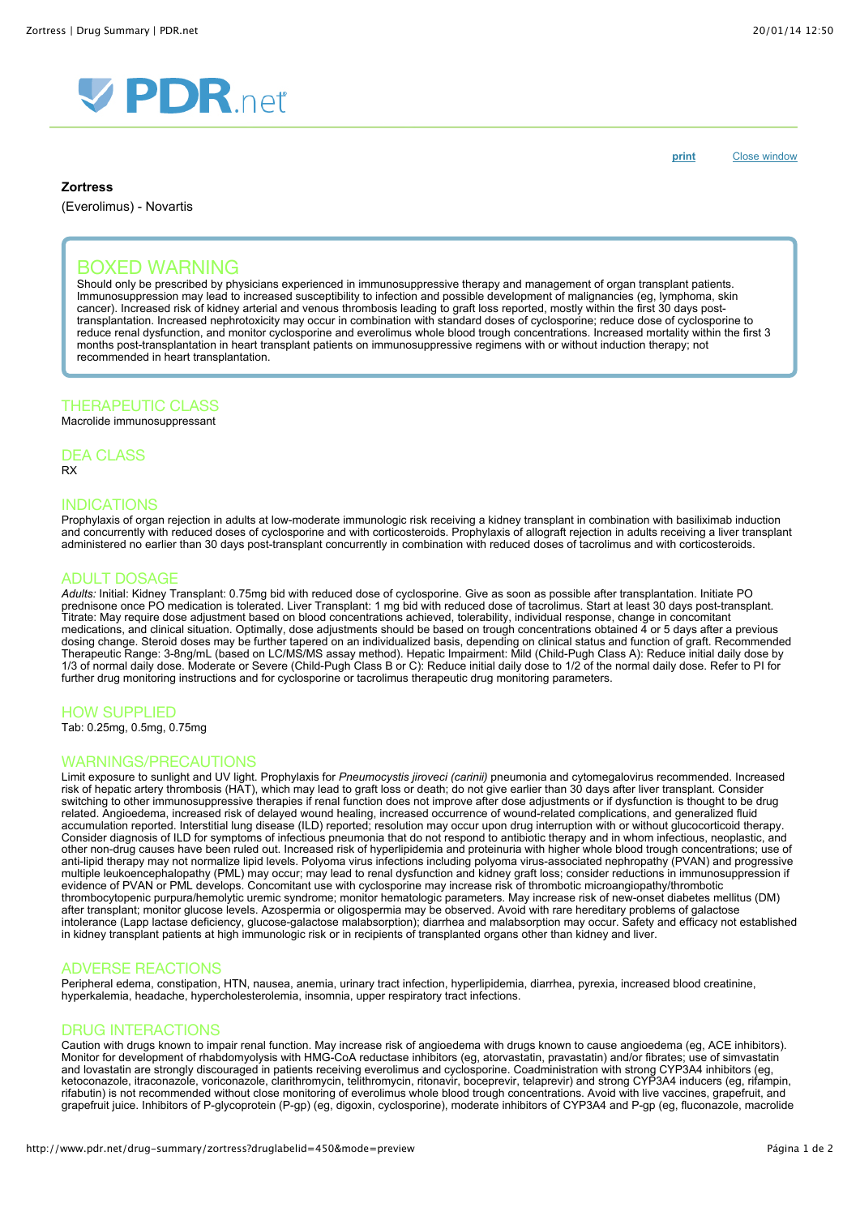



**Zortress**

(Everolimus) - Novartis

**[print](http://www.pdr.net/Custom/UI/UserControls/#)** Close window

# BOXED WARNING

Should only be prescribed by physicians experienced in immunosuppressive therapy and management of organ transplant patients. Immunosuppression may lead to increased susceptibility to infection and possible development of malignancies (eg, lymphoma, skin cancer). Increased risk of kidney arterial and venous thrombosis leading to graft loss reported, mostly within the first 30 days posttransplantation. Increased nephrotoxicity may occur in combination with standard doses of cyclosporine; reduce dose of cyclosporine to reduce renal dysfunction, and monitor cyclosporine and everolimus whole blood trough concentrations. Increased mortality within the first 3 months post-transplantation in heart transplant patients on immunosuppressive regimens with or without induction therapy; not recommended in heart transplantation.

## THERAPEUTIC CLASS

Macrolide immunosuppressant

DEA CLASS RX

## INDICATIONS

Prophylaxis of organ rejection in adults at low-moderate immunologic risk receiving a kidney transplant in combination with basiliximab induction and concurrently with reduced doses of cyclosporine and with corticosteroids. Prophylaxis of allograft rejection in adults receiving a liver transplant administered no earlier than 30 days post-transplant concurrently in combination with reduced doses of tacrolimus and with corticosteroids.

# ADULT DOSAGE

*Adults:* Initial: Kidney Transplant: 0.75mg bid with reduced dose of cyclosporine. Give as soon as possible after transplantation. Initiate PO prednisone once PO medication is tolerated. Liver Transplant: 1 mg bid with reduced dose of tacrolimus. Start at least 30 days post-transplant. Titrate: May require dose adjustment based on blood concentrations achieved, tolerability, individual response, change in concomitant medications, and clinical situation. Optimally, dose adjustments should be based on trough concentrations obtained 4 or 5 days after a previous dosing change. Steroid doses may be further tapered on an individualized basis, depending on clinical status and function of graft. Recommended Therapeutic Range: 3-8ng/mL (based on LC/MS/MS assay method). Hepatic Impairment: Mild (Child-Pugh Class A): Reduce initial daily dose by 1/3 of normal daily dose. Moderate or Severe (Child-Pugh Class B or C): Reduce initial daily dose to 1/2 of the normal daily dose. Refer to PI for further drug monitoring instructions and for cyclosporine or tacrolimus therapeutic drug monitoring parameters.

## HOW SUPPLIED

Tab: 0.25mg, 0.5mg, 0.75mg

### WARNINGS/PRECAUTIONS

Limit exposure to sunlight and UV light. Prophylaxis for *Pneumocystis jiroveci (carinii)* pneumonia and cytomegalovirus recommended. Increased risk of hepatic artery thrombosis (HAT), which may lead to graft loss or death; do not give earlier than 30 days after liver transplant. Consider switching to other immunosuppressive therapies if renal function does not improve after dose adjustments or if dysfunction is thought to be drug related. Angioedema, increased risk of delayed wound healing, increased occurrence of wound-related complications, and generalized fluid accumulation reported. Interstitial lung disease (ILD) reported; resolution may occur upon drug interruption with or without glucocorticoid therapy. Consider diagnosis of ILD for symptoms of infectious pneumonia that do not respond to antibiotic therapy and in whom infectious, neoplastic, and other non-drug causes have been ruled out. Increased risk of hyperlipidemia and proteinuria with higher whole blood trough concentrations; use of anti-lipid therapy may not normalize lipid levels. Polyoma virus infections including polyoma virus-associated nephropathy (PVAN) and progressive multiple leukoencephalopathy (PML) may occur; may lead to renal dysfunction and kidney graft loss; consider reductions in immunosuppression if evidence of PVAN or PML develops. Concomitant use with cyclosporine may increase risk of thrombotic microangiopathy/thrombotic thrombocytopenic purpura/hemolytic uremic syndrome; monitor hematologic parameters. May increase risk of new-onset diabetes mellitus (DM) after transplant; monitor glucose levels. Azospermia or oligospermia may be observed. Avoid with rare hereditary problems of galactose intolerance (Lapp lactase deficiency, glucose-galactose malabsorption); diarrhea and malabsorption may occur. Safety and efficacy not established in kidney transplant patients at high immunologic risk or in recipients of transplanted organs other than kidney and liver.

## ADVERSE REACTIONS

Peripheral edema, constipation, HTN, nausea, anemia, urinary tract infection, hyperlipidemia, diarrhea, pyrexia, increased blood creatinine, hyperkalemia, headache, hypercholesterolemia, insomnia, upper respiratory tract infections.

## DRUG INTERACTIONS

Caution with drugs known to impair renal function. May increase risk of angioedema with drugs known to cause angioedema (eg, ACE inhibitors). Monitor for development of rhabdomyolysis with HMG-CoA reductase inhibitors (eg, atorvastatin, pravastatin) and/or fibrates; use of simvastatin and lovastatin are strongly discouraged in patients receiving everolimus and cyclosporine. Coadministration with strong CYP3A4 inhibitors (eg, ketoconazole, itraconazole, voriconazole, clarithromycin, telithromycin, ritonavir, boceprevir, telaprevir) and strong CYP3A4 inducers (eg, rifampin, rifabutin) is not recommended without close monitoring of everolimus whole blood trough concentrations. Avoid with live vaccines, grapefruit, and grapefruit juice. Inhibitors of P-glycoprotein (P-gp) (eg, digoxin, cyclosporine), moderate inhibitors of CYP3A4 and P-gp (eg, fluconazole, macrolide